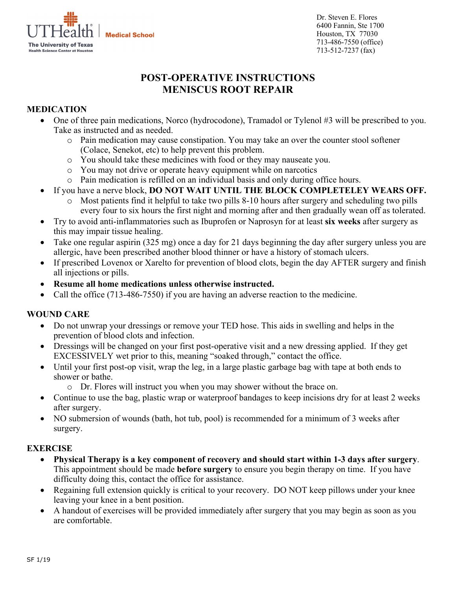**Medical School** 



Dr. Steven E. Flores 6400 Fannin, Ste 1700 Houston, TX 77030 713-486-7550 (office) 713-512-7237 (fax)

# **POST-OPERATIVE INSTRUCTIONS MENISCUS ROOT REPAIR**

## **MEDICATION**

- One of three pain medications, Norco (hydrocodone), Tramadol or Tylenol #3 will be prescribed to you. Take as instructed and as needed.
	- o Pain medication may cause constipation. You may take an over the counter stool softener (Colace, Senekot, etc) to help prevent this problem.
	- o You should take these medicines with food or they may nauseate you.
	- o You may not drive or operate heavy equipment while on narcotics
	- o Pain medication is refilled on an individual basis and only during office hours.
- If you have a nerve block, **DO NOT WAIT UNTIL THE BLOCK COMPLETELEY WEARS OFF.**
	- o Most patients find it helpful to take two pills 8-10 hours after surgery and scheduling two pills every four to six hours the first night and morning after and then gradually wean off as tolerated.
- Try to avoid anti-inflammatories such as Ibuprofen or Naprosyn for at least **six weeks** after surgery as this may impair tissue healing.
- Take one regular aspirin (325 mg) once a day for 21 days beginning the day after surgery unless you are allergic, have been prescribed another blood thinner or have a history of stomach ulcers.
- If prescribed Lovenox or Xarelto for prevention of blood clots, begin the day AFTER surgery and finish all injections or pills.
- **Resume all home medications unless otherwise instructed.**
- Call the office (713-486-7550) if you are having an adverse reaction to the medicine.

## **WOUND CARE**

- Do not unwrap your dressings or remove your TED hose. This aids in swelling and helps in the prevention of blood clots and infection.
- Dressings will be changed on your first post-operative visit and a new dressing applied. If they get EXCESSIVELY wet prior to this, meaning "soaked through," contact the office.
- Until your first post-op visit, wrap the leg, in a large plastic garbage bag with tape at both ends to shower or bathe.
	- o Dr. Flores will instruct you when you may shower without the brace on.
- Continue to use the bag, plastic wrap or waterproof bandages to keep incisions dry for at least 2 weeks after surgery.
- NO submersion of wounds (bath, hot tub, pool) is recommended for a minimum of 3 weeks after surgery.

## **EXERCISE**

- **Physical Therapy is a key component of recovery and should start within 1-3 days after surgery**. This appointment should be made **before surgery** to ensure you begin therapy on time. If you have difficulty doing this, contact the office for assistance.
- Regaining full extension quickly is critical to your recovery. DO NOT keep pillows under your knee leaving your knee in a bent position.
- A handout of exercises will be provided immediately after surgery that you may begin as soon as you are comfortable.